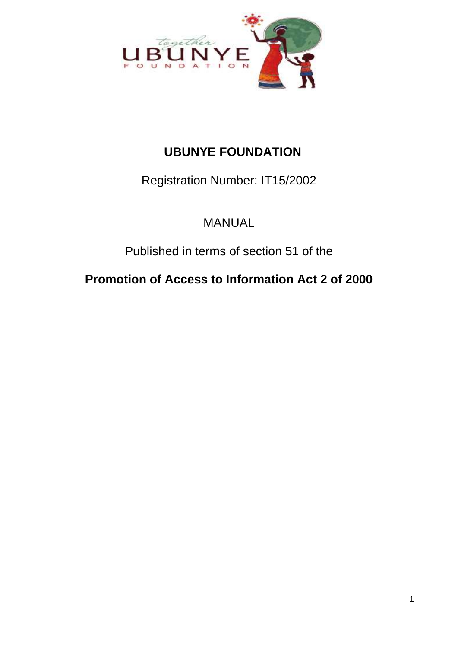

# **UBUNYE FOUNDATION**

Registration Number: IT15/2002

MANUAL

Published in terms of section 51 of the

**Promotion of Access to Information Act 2 of 2000**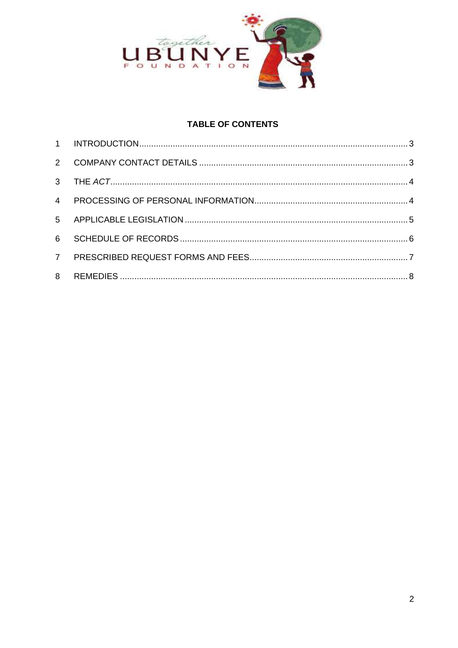

# **TABLE OF CONTENTS**

| $2^{\circ}$    |  |
|----------------|--|
| 3 <sup>7</sup> |  |
| $\overline{4}$ |  |
| 5 <sub>5</sub> |  |
| 6              |  |
| 7 <sup>7</sup> |  |
| 8              |  |
|                |  |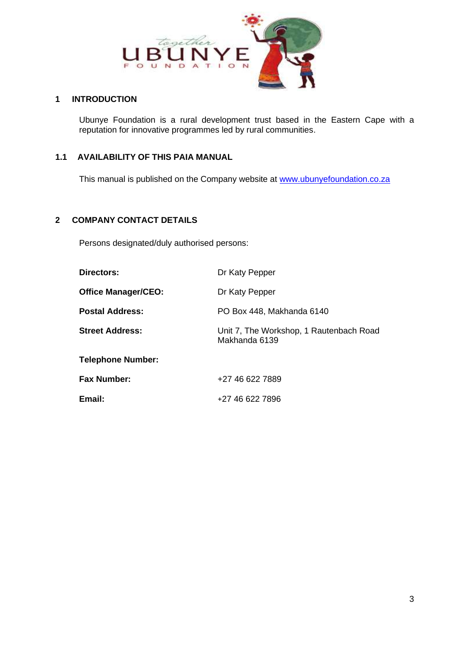

### <span id="page-2-0"></span>**1 INTRODUCTION**

Ubunye Foundation is a rural development trust based in the Eastern Cape with a reputation for innovative programmes led by rural communities.

### **1.1 AVAILABILITY OF THIS PAIA MANUAL**

This manual is published on the Company website at [www.ubunyefoundation.co.za](http://www.ubunyefoundation.co.za/)

### <span id="page-2-1"></span>**2 COMPANY CONTACT DETAILS**

Persons designated/duly authorised persons:

| <b>Directors:</b>          | Dr Katy Pepper                                           |  |
|----------------------------|----------------------------------------------------------|--|
| <b>Office Manager/CEO:</b> | Dr Katy Pepper                                           |  |
| <b>Postal Address:</b>     | PO Box 448, Makhanda 6140                                |  |
| <b>Street Address:</b>     | Unit 7, The Workshop, 1 Rautenbach Road<br>Makhanda 6139 |  |
| <b>Telephone Number:</b>   |                                                          |  |
| <b>Fax Number:</b>         | +27 46 622 7889                                          |  |
| Email:                     | +27 46 622 7896                                          |  |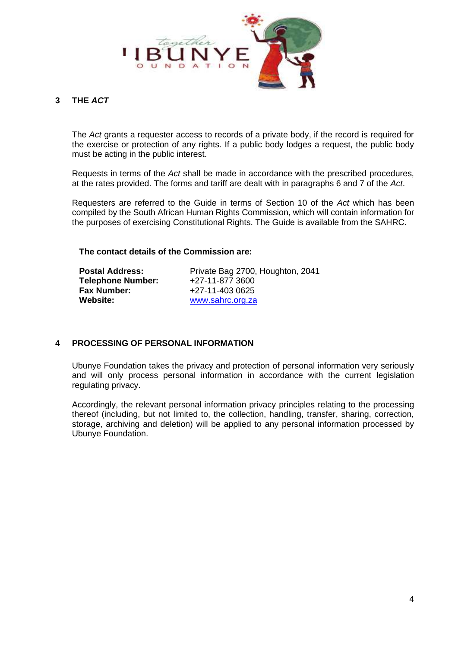

### <span id="page-3-0"></span>**3 THE** *ACT*

The *Act* grants a requester access to records of a private body, if the record is required for the exercise or protection of any rights. If a public body lodges a request, the public body must be acting in the public interest.

Requests in terms of the *Act* shall be made in accordance with the prescribed procedures, at the rates provided. The forms and tariff are dealt with in paragraphs 6 and 7 of the *Act*.

Requesters are referred to the Guide in terms of Section 10 of the *Act* which has been compiled by the South African Human Rights Commission, which will contain information for the purposes of exercising Constitutional Rights. The Guide is available from the SAHRC.

#### **The contact details of the Commission are:**

| <b>Postal Address:</b>   | Private Bag 2700, Houghton, 2041 |
|--------------------------|----------------------------------|
| <b>Telephone Number:</b> | +27-11-877 3600                  |
| <b>Fax Number:</b>       | +27-11-403 0625                  |
| Website:                 | www.sahrc.org.za                 |

### <span id="page-3-1"></span>**4 PROCESSING OF PERSONAL INFORMATION**

Ubunye Foundation takes the privacy and protection of personal information very seriously and will only process personal information in accordance with the current legislation regulating privacy.

Accordingly, the relevant personal information privacy principles relating to the processing thereof (including, but not limited to, the collection, handling, transfer, sharing, correction, storage, archiving and deletion) will be applied to any personal information processed by Ubunye Foundation.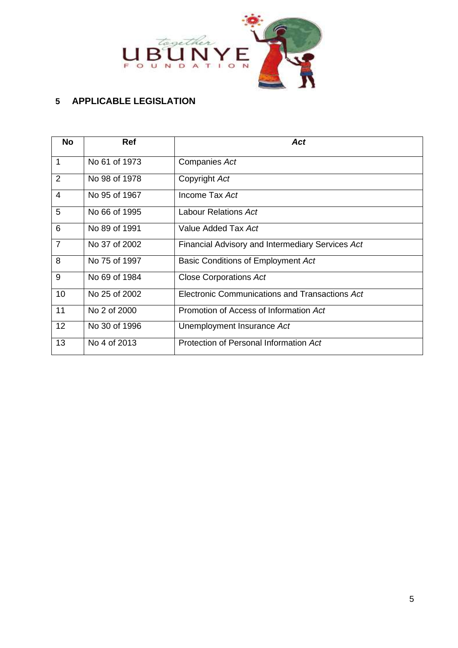

# <span id="page-4-0"></span>**APPLICABLE LEGISLATION**

| <b>No</b>      | <b>Ref</b>    | Act                                              |  |
|----------------|---------------|--------------------------------------------------|--|
| $\mathbf{1}$   | No 61 of 1973 | Companies Act                                    |  |
| $\overline{2}$ | No 98 of 1978 | Copyright Act                                    |  |
| $\overline{4}$ | No 95 of 1967 | Income Tax Act                                   |  |
| 5              | No 66 of 1995 | Labour Relations Act                             |  |
| 6              | No 89 of 1991 | Value Added Tax Act                              |  |
| $\overline{7}$ | No 37 of 2002 | Financial Advisory and Intermediary Services Act |  |
| 8              | No 75 of 1997 | Basic Conditions of Employment Act               |  |
| 9              | No 69 of 1984 | <b>Close Corporations Act</b>                    |  |
| 10             | No 25 of 2002 | Electronic Communications and Transactions Act   |  |
| 11             | No 2 of 2000  | Promotion of Access of Information Act           |  |
| 12             | No 30 of 1996 | Unemployment Insurance Act                       |  |
| 13             | No 4 of 2013  | Protection of Personal Information Act           |  |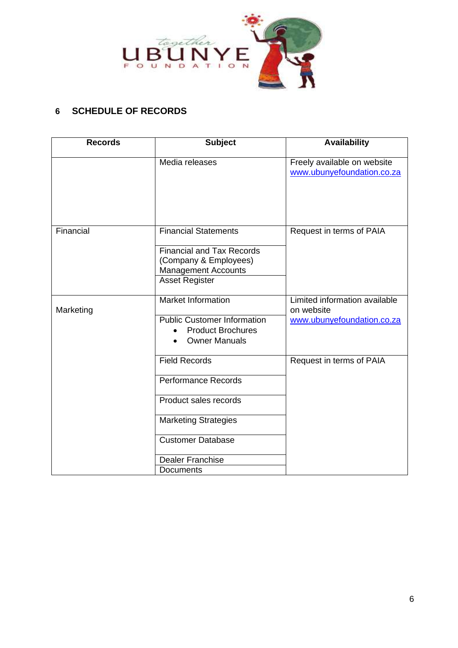

# <span id="page-5-0"></span>**6 SCHEDULE OF RECORDS**

| <b>Records</b> | <b>Subject</b>                                                                                                                                  | <b>Availability</b>                                                       |
|----------------|-------------------------------------------------------------------------------------------------------------------------------------------------|---------------------------------------------------------------------------|
|                | Media releases                                                                                                                                  | Freely available on website<br>www.ubunyefoundation.co.za                 |
| Financial      | <b>Financial Statements</b><br><b>Financial and Tax Records</b><br>(Company & Employees)<br><b>Management Accounts</b><br><b>Asset Register</b> | Request in terms of PAIA                                                  |
| Marketing      | <b>Market Information</b><br><b>Public Customer Information</b><br><b>Product Brochures</b><br><b>Owner Manuals</b>                             | Limited information available<br>on website<br>www.ubunyefoundation.co.za |
|                | <b>Field Records</b><br><b>Performance Records</b><br>Product sales records                                                                     | Request in terms of PAIA                                                  |
|                | <b>Marketing Strategies</b><br><b>Customer Database</b>                                                                                         |                                                                           |
|                | <b>Dealer Franchise</b><br>Documents                                                                                                            |                                                                           |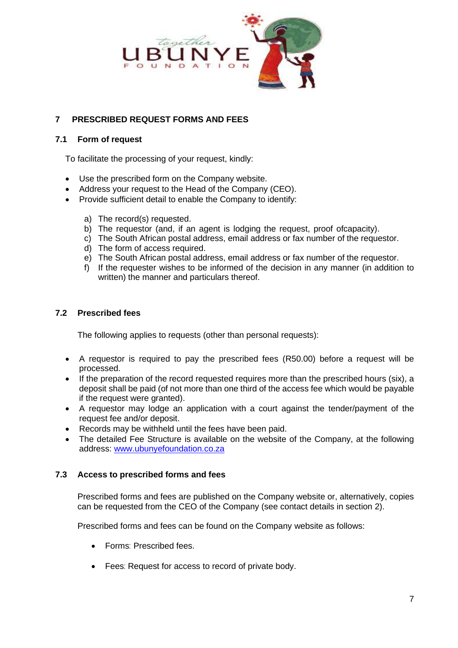

### <span id="page-6-0"></span>**7 PRESCRIBED REQUEST FORMS AND FEES**

### **7.1 Form of request**

To facilitate the processing of your request, kindly:

- Use the prescribed form on the Company website.
- Address your request to the Head of the Company (CEO).
- Provide sufficient detail to enable the Company to identify:
	- a) The record(s) requested.
	- b) The requestor (and, if an agent is lodging the request, proof ofcapacity).
	- c) The South African postal address, email address or fax number of the requestor.
	- d) The form of access required.
	- e) The South African postal address, email address or fax number of the requestor.
	- f) If the requester wishes to be informed of the decision in any manner (in addition to written) the manner and particulars thereof.

### **7.2 Prescribed fees**

The following applies to requests (other than personal requests):

- A requestor is required to pay the prescribed fees (R50.00) before a request will be processed.
- If the preparation of the record requested requires more than the prescribed hours (six), a deposit shall be paid (of not more than one third of the access fee which would be payable if the request were granted).
- A requestor may lodge an application with a court against the tender/payment of the request fee and/or deposit.
- Records may be withheld until the fees have been paid.
- The detailed Fee Structure is available on the website of the Company, at the following address: [www.ubunyefoundation.co.za](http://www.ubunyefoundation.co.za/)

### **7.3 Access to prescribed forms and fees**

Prescribed forms and fees are published on the Company website or, alternatively, copies can be requested from the CEO of the Company (see contact details in section [2\)](#page-2-1).

Prescribed forms and fees can be found on the Company website as follows:

- Forms: Prescribed fees.
- Fees: Request for access to record of private body.